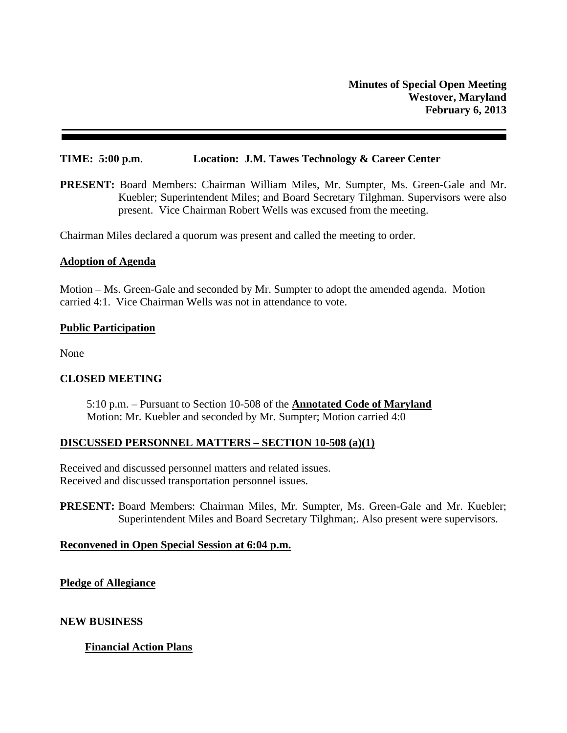### **TIME: 5:00 p.m**. **Location: J.M. Tawes Technology & Career Center**

**PRESENT:** Board Members: Chairman William Miles, Mr. Sumpter, Ms. Green-Gale and Mr. Kuebler; Superintendent Miles; and Board Secretary Tilghman. Supervisors were also present. Vice Chairman Robert Wells was excused from the meeting.

Chairman Miles declared a quorum was present and called the meeting to order.

#### **Adoption of Agenda**

Motion – Ms. Green-Gale and seconded by Mr. Sumpter to adopt the amended agenda. Motion carried 4:1. Vice Chairman Wells was not in attendance to vote.

### **Public Participation**

None

# **CLOSED MEETING**

5:10 p.m. – Pursuant to Section 10-508 of the **Annotated Code of Maryland**  Motion: Mr. Kuebler and seconded by Mr. Sumpter; Motion carried 4:0

#### **DISCUSSED PERSONNEL MATTERS – SECTION 10-508 (a)(1)**

Received and discussed personnel matters and related issues. Received and discussed transportation personnel issues.

**PRESENT:** Board Members: Chairman Miles, Mr. Sumpter, Ms. Green-Gale and Mr. Kuebler; Superintendent Miles and Board Secretary Tilghman;. Also present were supervisors.

#### **Reconvened in Open Special Session at 6:04 p.m.**

**Pledge of Allegiance** 

**NEW BUSINESS** 

# **Financial Action Plans**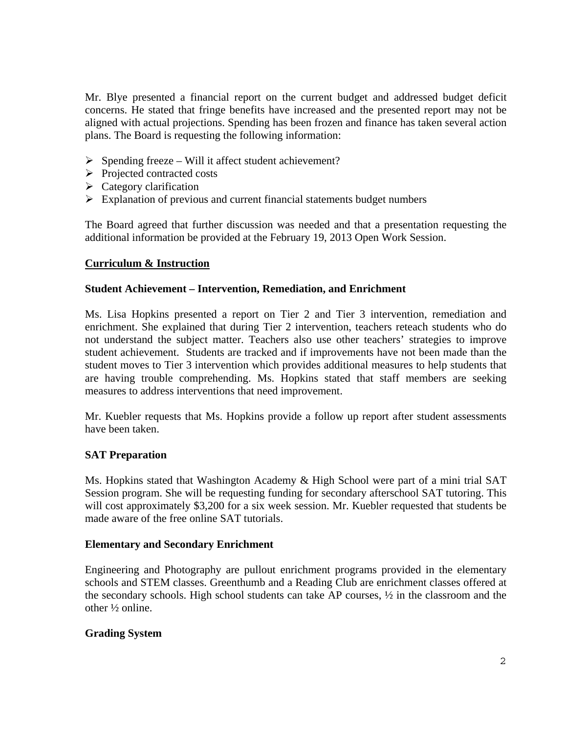Mr. Blye presented a financial report on the current budget and addressed budget deficit concerns. He stated that fringe benefits have increased and the presented report may not be aligned with actual projections. Spending has been frozen and finance has taken several action plans. The Board is requesting the following information:

- $\triangleright$  Spending freeze Will it affect student achievement?
- Projected contracted costs
- $\triangleright$  Category clarification
- $\triangleright$  Explanation of previous and current financial statements budget numbers

The Board agreed that further discussion was needed and that a presentation requesting the additional information be provided at the February 19, 2013 Open Work Session.

# **Curriculum & Instruction**

### **Student Achievement – Intervention, Remediation, and Enrichment**

Ms. Lisa Hopkins presented a report on Tier 2 and Tier 3 intervention, remediation and enrichment. She explained that during Tier 2 intervention, teachers reteach students who do not understand the subject matter. Teachers also use other teachers' strategies to improve student achievement. Students are tracked and if improvements have not been made than the student moves to Tier 3 intervention which provides additional measures to help students that are having trouble comprehending. Ms. Hopkins stated that staff members are seeking measures to address interventions that need improvement.

Mr. Kuebler requests that Ms. Hopkins provide a follow up report after student assessments have been taken.

# **SAT Preparation**

Ms. Hopkins stated that Washington Academy & High School were part of a mini trial SAT Session program. She will be requesting funding for secondary afterschool SAT tutoring. This will cost approximately \$3,200 for a six week session. Mr. Kuebler requested that students be made aware of the free online SAT tutorials.

# **Elementary and Secondary Enrichment**

Engineering and Photography are pullout enrichment programs provided in the elementary schools and STEM classes. Greenthumb and a Reading Club are enrichment classes offered at the secondary schools. High school students can take AP courses, ½ in the classroom and the other ½ online.

# **Grading System**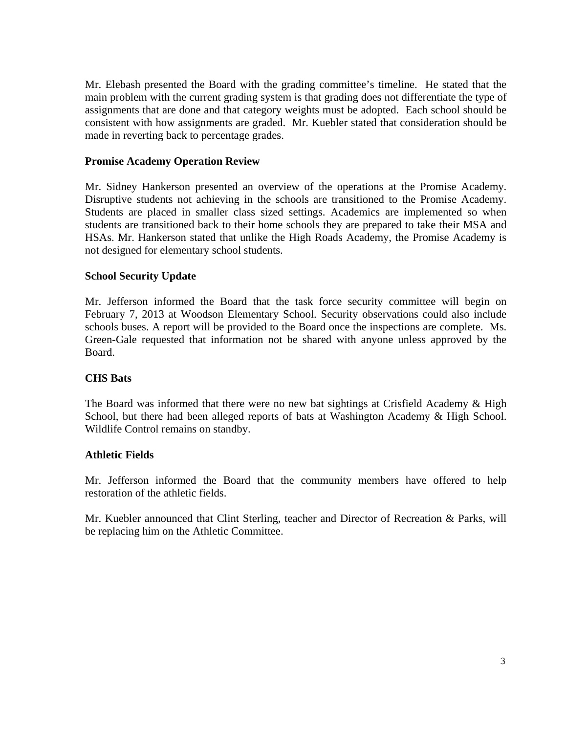Mr. Elebash presented the Board with the grading committee's timeline. He stated that the main problem with the current grading system is that grading does not differentiate the type of assignments that are done and that category weights must be adopted. Each school should be consistent with how assignments are graded. Mr. Kuebler stated that consideration should be made in reverting back to percentage grades.

### **Promise Academy Operation Review**

Mr. Sidney Hankerson presented an overview of the operations at the Promise Academy. Disruptive students not achieving in the schools are transitioned to the Promise Academy. Students are placed in smaller class sized settings. Academics are implemented so when students are transitioned back to their home schools they are prepared to take their MSA and HSAs. Mr. Hankerson stated that unlike the High Roads Academy, the Promise Academy is not designed for elementary school students.

### **School Security Update**

Mr. Jefferson informed the Board that the task force security committee will begin on February 7, 2013 at Woodson Elementary School. Security observations could also include schools buses. A report will be provided to the Board once the inspections are complete. Ms. Green-Gale requested that information not be shared with anyone unless approved by the Board.

#### **CHS Bats**

The Board was informed that there were no new bat sightings at Crisfield Academy & High School, but there had been alleged reports of bats at Washington Academy & High School. Wildlife Control remains on standby.

#### **Athletic Fields**

Mr. Jefferson informed the Board that the community members have offered to help restoration of the athletic fields.

Mr. Kuebler announced that Clint Sterling, teacher and Director of Recreation & Parks, will be replacing him on the Athletic Committee.